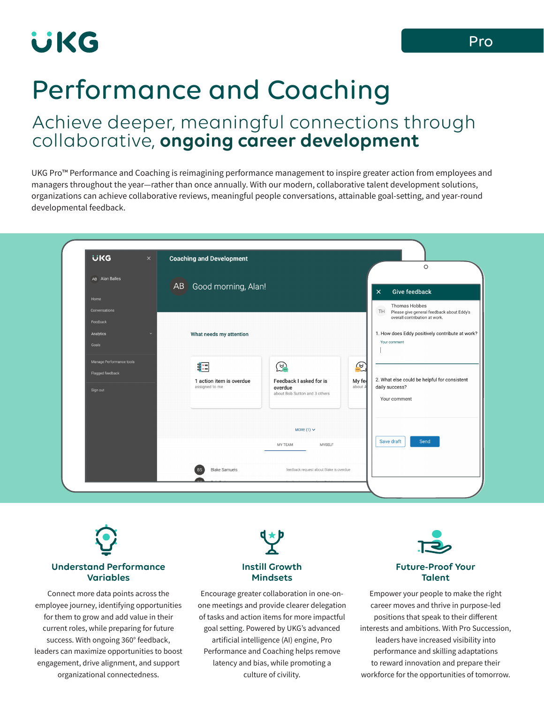# **UKG**

# Performance and Coaching

### Achieve deeper, meaningful connections through collaborative, **ongoing career development**

UKG Pro™ Performance and Coaching is reimagining performance management to inspire greater action from employees and managers throughout the year—rather than once annually. With our modern, collaborative talent development solutions, organizations can achieve collaborative reviews, meaningful people conversations, attainable goal-setting, and year-round developmental feedback.

|                          |                                                                                                      | $\circ$                                                               |
|--------------------------|------------------------------------------------------------------------------------------------------|-----------------------------------------------------------------------|
| AB Alan Balles           | AB Good morning, Alan!                                                                               |                                                                       |
| Home                     |                                                                                                      | <b>Give feedback</b><br>$\times$                                      |
| Conversations            |                                                                                                      | Thomas Hobbes<br>œ<br>TH<br>Please give general feedback about Eddy's |
| Feedback                 |                                                                                                      | overall contribution at work.                                         |
| Analytics                | What needs my attention                                                                              | 1. How does Eddy positively contribute at work?                       |
| Goals                    |                                                                                                      | Your comment                                                          |
| Manage Performance tools |                                                                                                      |                                                                       |
| Flagged feedback         | <u>କୁ</u><br>霏                                                                                       | $\mathbf{F}$                                                          |
|                          | Feedback I asked for is<br>My fe<br>1 action item is overdue<br>assigned to me<br>about A<br>overdue | 2. What else could be helpful for consistent<br>daily success?        |
| Sign out                 | about Bob Sutton and 3 others                                                                        | Your comment                                                          |
|                          |                                                                                                      |                                                                       |
|                          |                                                                                                      |                                                                       |
|                          | MORE (1) $\times$                                                                                    |                                                                       |
|                          | <b>MYSELF</b><br>MY TEAM                                                                             | Save draft<br>Send                                                    |
|                          |                                                                                                      |                                                                       |
|                          | <b>Blake Samuels</b><br>feedback request about Blake is overdue                                      |                                                                       |



employee journey, identifying opportunities for them to grow and add value in their current roles, while preparing for future success. With ongoing 360° feedback, leaders can maximize opportunities to boost engagement, drive alignment, and support organizational connectedness.



### **Instill Growth Mindsets**

Encourage greater collaboration in one-onone meetings and provide clearer delegation of tasks and action items for more impactful goal setting. Powered by UKG's advanced artificial intelligence (AI) engine, Pro Performance and Coaching helps remove latency and bias, while promoting a culture of civility.



### **Future-Proof Your Talent**

Empower your people to make the right career moves and thrive in purpose-led positions that speak to their different interests and ambitions. With Pro Succession, leaders have increased visibility into performance and skilling adaptations to reward innovation and prepare their workforce for the opportunities of tomorrow.